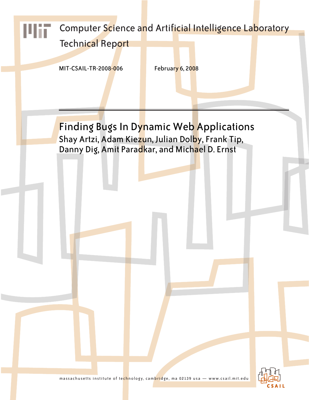

massachusetts institute of technology, cambridge, ma 02139 usa — www.csail.mit.edu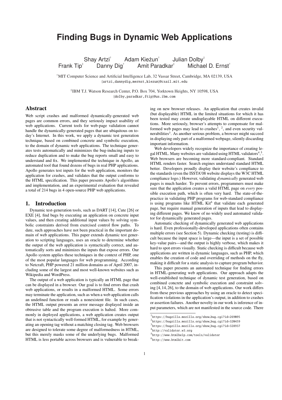# **Finding Bugs in Dynamic Web Applications**

Shay Artzi<sup>†</sup> Adam Kieżun<sup>†</sup> Julian Dolby<sup>#</sup> Frank Tip<sup>#</sup> Danny Dig<sup>+</sup> Amit Paradkar<sup>#</sup> Michael D. Ernst<sup>†</sup>

†MIT Computer Science and Artificial Intelligence Lab, 32 Vassar Street, Cambridge, MA 02139, USA {artzi,dannydig,mernst,kiezun}@csail.mit.edu

‡ IBM T.J. Watson Research Center, P.O. Box 704, Yorktown Heights, NY 10598, USA {dolby,paradkar,ftip}@us.ibm.com

# Abstract

Web script crashes and malformed dynamically-generated web pages are common errors, and they seriously impact usability of web applications. Current tools for web-page validation cannot handle the dynamically-generated pages that are ubiquitous on today's Internet. In this work, we apply a dynamic test generation technique, based on combined concrete and symbolic execution, to the domain of dynamic web applications. The technique generates tests automatically and minimizes the bug-inducing inputs to reduce duplication and to make the bug reports small and easy to understand and fix. We implemented the technique in Apollo, an automated tool that found dozens of bugs in real PHP applications. Apollo generates test inputs for the web application, monitors the application for crashes, and validates that the output conforms to the HTML specification. This paper presents Apollo's algorithms and implementation, and an experimental evaluation that revealed a total of 214 bugs in 4 open-source PHP web applications.

### 1. Introduction

Dynamic test-generation tools, such as DART [14], Cute [26] or EXE [4], find bugs by executing an application on concrete input values, and then creating additional input values by solving symbolic constraints derived from exercised control flow paths. To date, such approaches have not been practical in the important domain of web applications. This paper extends dynamic test generation to scripting languages, uses an oracle to determine whether the output of the web application is syntactically correct, and automatically sorts and minimizes the inputs that expose errors. Our Apollo system applies these techniques in the context of PHP, one of the most popular languages for web programming. According to Netcraft, PHP powered 21 million domains as of April 2007, including some of the largest and most well-known websites such as Wikipedia and WordPress.

The output of a web application is typically an HTML page that can be displayed in a browser. Our goal is to find errors that crash web applications, or results in a malformed HTML. Some errors may terminate the application, such as when a web application calls an undefined function or reads a nonexistent file. In such cases, the HTML output presents an error message displayed inside an obtrusive table and the program execution is halted. More commonly in deployed applications, a web application creates output that is not syntactically well-formed HTML, for example by generating an opening tag without a matching closing tag. Web browsers are designed to tolerate some degree of malformedness in HTML, but this merely masks some of the underlying bugs. Malformed HTML is less portable across browsers and is vulnerable to break-

ing on new browser releases. An application that creates invalid (but displayable) HTML in the limited situations for which it has been tested may create undisplayable HTML on different executions. More seriously, browser's attempts to compensate for malformed web pages may lead to crashes<sup>1</sup>, <sup>2</sup>, and even security vulnerabilities<sup>3</sup>. As another serious problem, a browser might succeed in displaying only part of a malformed webpage, silently discarding important information.

Web developers widely recognize the importance of creating legal HTML. Many websites are validated using HTML validators<sup>4</sup>,<sup>5</sup>. Web browsers are becoming more standard-compliant. Standard HTML renders faster. Search engines understand standard HTML better. Developers proudly display their website's compliance to the standards (even the ISSTA'08 website displays the W3C HTML compliance logo.) However, validating *dynamically* generated web pages is much harder. To prevent errors, programmers must make sure that the application creates a valid HTML page on *every* possible execution path, which is often very hard. The state-of-thepractice in validating PHP programs for web-standard compliance is using programs like HTML Kit<sup>6</sup> that validate each generated page, but require manual generation of inputs that lead to displaying different pages. We know of no widely used automated validator for dynamically generated pages.

Automatic checking of dynamically generated web applications is hard. Even professionally-developed applications often contains multiple errors (see Section 5). Dynamic checking (testing) is difficult because the input space is large—the input is a set of possible key-value pairs—and the output is highly verbose, which makes it hard to spot errors visually. Static checking is difficult because web applications are written in dynamic languages, such as PHP, which enables the creation of code and overriding of methods on the fly, making it difficult for a static analysis to capture program behavior.

This paper presents an automated technique for finding errors in HTML-generating web applications. Our approach adapts the well-established technique of dynamic test generation, based on combined concrete and symbolic execution and constraint solving [4,14,26], to the domain of web applications. Our work differs from these previous approaches by using an oracle to detect specification violations in the application's output, in addition to crashes or assertion failures. Another novelty in our work is inference of input parameters, which are not manifested in the source code. There

6 http://www.htmlkit.com

<sup>1</sup> https://bugzilla.mozilla.org/show bug.cgi?id=269095

<sup>2</sup> https://bugzilla.mozilla.org/show bug.cgi?id=320459

<sup>3</sup> https://bugzilla.mozilla.org/show bug.cgi?id=328937 4 http://validator.w3.org

<sup>5</sup> http://www.htmlhelp.com/tools/validator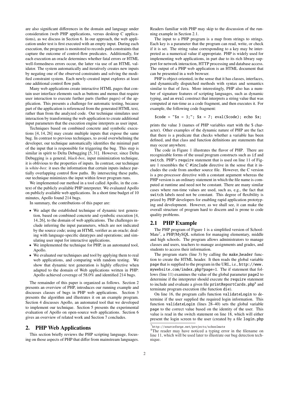are also significant differences in the domain and language under consideration (web PHP applications, versus desktop C applications), as we discuss in Section 6. In our approach, the web application under test is first executed with an empty input. During each execution, the program is monitored to records path constraints that capture the outcome of control-flow predicates. Additionally, for each execution an oracle determines whether fatal errors or HTML well-formedness errors occur, the latter via use of an HTML validator. The system automatically and iteratively creates new inputs by negating one of the observed constraints and solving the modified constraint system. Each newly-created input explores at least one additional control flow path.

Many web applications create interactive HTML pages that contain user interface elements such as buttons and menus that require user interaction to execute further parts (further pages) of the application. This presents a challenge for automatic testing, because part of the application is referenced from the generated HTML text, rather than from the analyzed code. Our technique simulates user interaction by transforming the web application to create additional input parameters that the execution engine interprets as user input.

Techniques based on combined concrete and symbolic executions [4, 14, 26] may create multiple inputs that expose the same bug. In contrast to previous techniques, to avoid overwhelming the developer, our technique automatically identifies the minimal part of the input that is responsible for triggering the bug. This step is similar in spirit to Delta Debugging [5, 31]. However, since Delta Debugging is a general, *black-box*, input minimization technique, it is oblivious to the properties of inputs. In contrast, our technique is *white-box*: it uses the information that certain inputs induce partially overlapping control flow paths. By intersecting these paths, our technique minimizes the input within fewer program runs.

We implemented our method in a tool called Apollo, in the context of the publicly available PHP interpreter. We evaluated Apollo on publicly available web applications. In a short time budget of 10 minutes, Apollo found 214 bugs.

In summary, the contributions of this paper are:

- We adapt the established technique of dynamic test generation, based on combined concrete and symbolic execution [4, 14, 26], to the domain of web applications. The challenges include inferring the input parameters, which are not indicated by the source code; using an HTML verifier as an oracle; dealing with language-specific datatypes and operations; and simulating user input for interactive applications.
- We implemented the technique for PHP, in an automated tool, Apollo.
- We evaluated our techniques and tool by applying them to real web applications, and comparing with random testing. We show that dynamic test generation is highly effective when adapted to the domain of Web applications written in PHP: Apollo achieved coverage of 58.0% and identified 214 bugs.

The remainder of this paper is organized as follows. Section 2 presents an overview of PHP, introduces our running example and discusses classes of bugs in PHP web applications. Section 3 presents the algorithm and illustrates it on an example program. Section 4 discusses Apollo, an automated tool that we developed to implement our technique. Section 5 presents the experimental evaluation of Apollo on open-source web applications. Section 6 gives an overview of related work and Section 7 concludes.

### 2. PHP Web Applications

This section briefly reviews the PHP scripting language, focusing on those aspects of PHP that differ from mainstream languages.

Readers familiar with PHP may skip to the discussion of the running example in Section 2.1.

The input to a PHP program is a map from strings to strings. Each key is a parameter that the program can read, write, or check if it is set. The string value corresponding to a key may be interpreted as a numerical value if appropriate. PHP is widely used for implementing web applications, in part due to its rich library support for network interaction, HTTP processing and database access. The output of a PHP web application is an HTML document that can be presented in a web browser.

PHP is object-oriented, in the sense that it has classes, interfaces, and dynamically dispatched methods with syntax and semantics similar to that of Java. More interestingly, PHP also has a number of signature features of scripting languages, such as dynamic typing, and an eval construct that interprets a string value that was computed at run-time as a code fragment, and then executes it. For example, the following code fragment:

 $\text{6code} = "$ \$x = 3;"; \$x = 7; eval(\$code); echo \$x;

prints the value 3 (names of PHP variables start with the \$ character). Other examples of the dynamic nature of PHP are the fact that there is a predicate that checks whether a variable has been defined, and that class and function definitions are statements that may occur anywhere.

The code in Figure 1 illustrates the flavor of PHP. There are recognizable forms of the usual program constructs such as if and switch. PHP's require statement that is used on line 11 of Figure 1 resembles the C #include directive in the sense that it includes the code from another source file. However, the C version is a pre-processor directive with a constant argument whereas the PHP version is an ordinary statement in which the file name is computed at runtime and need not be constant. There are many similar cases where run-time values are used, such as, e.g., the fact that switch labels need not be constant. This degree of flexibility is prized by PHP developers for enabling rapid application prototyping and development. However, as we shall see, it can make the overall structure of program hard to discern and is prone to code quality problems.

# 2.1 PHP Example

The PHP program of Figure 1 is a simplified version of School-Mate<sup>7</sup>, a PHP/MySQL solution for managing elementary, middle and high schools. The program allows administrators to manage classes and users, teachers to manage assignments and grades, and students to access their information.

The program starts (line 3) by calling the make header function to create the HTML header. It then reads the global variable page that is supplied to the program in the URL, i.e., http://www. mywebsite.com/index.php?page=1. The if statement that follows (line 11) examines the value of the global parameter page2 to determine if the interpreter should execute the require statement to include and evaluate a given file  $\texttt{printReportCards.php}^8$  and terminate program execution (the function die).

On line 16, the program calls function validateLogin to determine if the user supplied the required login information. This function validateLogin (lines 28–40) sets the global variable page to the correct value based on the identity of the user. This value is read in the switch statement on line 18, which will either present the login screen to the user (created by a file login.php

<sup>7</sup> http://sourceforge.net/projects/schoolmate

<sup>&</sup>lt;sup>8</sup>The reader may have noticed a typing error in the filename on line 11, which will be used later to illustrate our bug detection technique.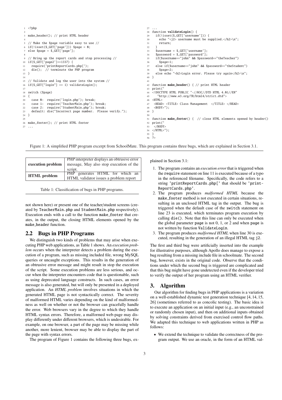```
1 <?php
 2
   make_header(); // print HTML header
 4
   5 // Make the $page variable easy to use //
   if(!isset(\text{S\_GET}['page']) $page = 0;
   else page = $GET['page'];
 8
     9 // Bring up the report cards and stop processing //
10 if($_GET['page2']==1337) {
11 require('printReportCards.php[');
12 die(); // terminate the PHP program
13 \quad 714
15 // Validate and log the user into the system //
16 if($_GET["login"] == 1) validateLogin();
17
18 switch ($page)
19 {
20 case 0: require('login.php'); break;
21 case 1: require('TeacherMain.php'); break;
22 case 2: require('StudentMain.php'); break;
23 default: die("Incorrect page number. Please verify.");
24 }
25
26 make_footer(); // print HTML footer
   27 ...
                                                                            27 ...
                                                                            28 function validateLogin() {
                                                                            29 if(!isset($_GET['username'])) {
                                                                            30 echo "<j2> username must be supplied.</h2>\n";
                                                                            31 return;
                                                                            32 }
                                                                            33 $username = $_GET['username'];<br>34 $password = $_GET['password'];
                                                                                 $password = $GET['password'];
                                                                            35 if($username=="john" && $password=="theTeacher")
                                                                            36 $page=1;
                                                                            37 else if($username=="john" && $password=="theStudent")
                                                                            38 $page=2;
39 else echo "<h2>Login error. Please try again</h2>\n";
                                                                            40 }
                                                                            41
                                                                            42 function make_header() { // print HTML header
                                                                            43 print(
                                                                            44 <!DOCTYPE HTML PUBLIC "-//W3C//DTD HTML 4.01//EN"
                                                                                  "http://www.w3.org/TR/html4/strict.dtd">
                                                                            4647 <HEAD> <TITLE> Class Management </TITLE> </HEAD>
                                                                            ..<br>48 <BODY>");
                                                                            49 }
                                                                            50
                                                                            51 function make_footer() { // close HTML elements opened by header()
                                                                            52 print(\frac{53}{53} </BOD
                                                                                </BODY>
                                                                            54 </HTML>");
                                                                            55 }
                                                                            56 ?>
```
Figure 1: A simplified PHP program excerpt from SchoolMate. This program contains three bugs, which are explained in Section 3.1.

| execution problem   | PHP interpreter displays an obtrusive error<br>message, May also stop execution of the<br>script. |  |  |  |  |
|---------------------|---------------------------------------------------------------------------------------------------|--|--|--|--|
| <b>HTML</b> problem | PHP generates HTML for which an<br>HTML validator issues a problem report                         |  |  |  |  |

Table 1: Classification of bugs in PHP programs.

not shown here) or present one of the teacher/student screens (created by TeacherMain.php and StudentMain.php respectively). Execution ends with a call to the function make\_footer that creates, in the output, the closing HTML elements opened by the make header function.

# 2.2 Bugs in PHP Programs

We distinguish two kinds of problems that may arise when executing PHP web applications, as Table 1 shows. An *execution problem* occurs when the interpreter detects a problem during the execution of a program, such as missing included file, wrong MySQL queries or uncaught exceptions. This results in the generation of an obtrusive error message and might result in stop the execution of the script. Some execution problems are less serious, and occur when the interpreter encounters code that is questionable, such as using deprecated language constructs. In such cases, an error message is also generated, but will only be presented in a deployed application. An *HTML problem* involves situations in which the generated HTML page is not syntactically correct. The severity of malformed HTML varies depending on the kind of malformedness as well on whether or not the browser can gracefully handle the error. Web browsers vary in the degree to which they handle HTML syntax errors. Therefore, a malformed web-page may display differently under different browsers, which is undesirable. For example, on one browser, a part of the page may be missing while another, more lenient, browser may be able to display the part of the page with syntax errors.

The program of Figure 1 contains the following three bugs, ex-

plained in Section 3.1:

- 1. The program contains an *execution error* that is triggered when the require statement on line 11 is executed because of a typo in the referenced filename. Specifically, the code refers to a string 'printReportCards.php[' that should be 'print-ReportCards.php'.
- 2. The program produces *malformed HTML* because the make footer method is not executed in certain situations, resulting in an unclosed HTML tag in the output. The bug is triggered when the default case of the switch statement on line 23 is executed, which terminates program execution by calling die(). Note that this line can only be executed when the global parameter page is not 0, 1, or 2 and when page is not written by function ValidateLogin.
- 3. The program produces *malformed HTML* when line 30 is executed, resulting in the generation of an illegal HTML tag j2.

The first and third bug were artificially inserted into the example for illustrative purposes, although Apollo does manage to expose a bug resulting from a missing include file in schoolmate. The second bug, however, exists in the original code. Observe that the conditions under which the second bug is triggered are complicated and that this bug might have gone undetected even if the developer tried to verify the output of her program using an HTML verifier.

### 3. Algorithm

Our algorithm for finding bugs in PHP applications is a variation on a well-established dynamic test generation technique [4, 14, 15, 26] (sometimes referred to as concolic testing). The basic idea is to execute an application on an initial input (e.g., an unconstrained or randomly chosen input), and then on additional inputs obtained by solving constraints derived from exercised control flow paths. We adapted this technique to web applications written in PHP as follows:

• We extend the technique to validate the correctness of the program output. We use an oracle, in the form of an HTML val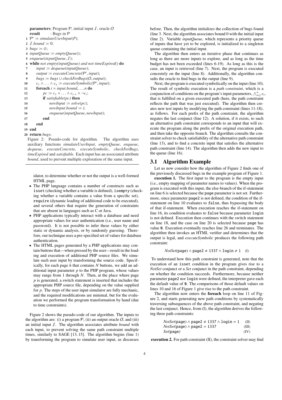parameters: Program  $P$ , initial input  $I$ , oracle  $O$ result : Bugs in  $P$ 

 $1 \mathcal{P}' \coloneqq \text{simulateUserInput}(P);$ 

2 *I*.*bound* := 0;

- 3 *bugs*  $\coloneqq \emptyset$ ;
- 4  $inputQueue := emptyQueue();$
- 5 *enqueue*(*inputQueue*, I);
- 6 while *not empty(inputQueue) and not timeExpired()* do
- $7$  *input*  $:=$  *dequeue*(*inputQueue*);
- 8  $output := executeConcrete(P', input);$
- 9 *bugs*  $:= bugs \cup checkForBugs(O, output);$
- 10  $c_1 \wedge \ldots \wedge c_n \coloneqq \text{executeSymbolic}(\mathcal{P}', \text{input});$

```
11 foreach i = input, bound, \ldots, n do
```

```
12 pc \coloneqq c<sub>1</sub> ∧ . . . ∧ c<sub>i-1</sub> ∧ ¬c<sub>i</sub>;
```
- 13 if *satisfiable(pc)* then
- 14 *newInput*  $\coloneqq$  *solve*(*pc*);

```
15 newInput. bound \coloneqq i;
```

```
16 enqueue(inputQueue, newInput);
```
- 17 end
- 18 end
- 19 end

```
20 return bugs;
```
Figure 2: Pseudo-code for algorithm. The algorithm uses auxiliary functions *simulateUserInput*, *emptyQueue*, *enqueue*, *dequeue*, *executeConcrete*, *executeSymbolic*, *checkForBugs*, *timeExpired* and *satisfiable*. Each input has an associated attribute *bound*, used to prevent multiple exploration of the same input.

idator, to determine whether or not the output is a well-formed HTML page.

- The PHP language contains a number of constructs such as isset (checking whether a variable is defined), isempty (checking whether a variable contains a value from a specific set), require (dynamic loading of additional code to be executed), and several others that require the generation of constraints that are absent in languages such as C or Java.
- PHP applications typically interact with a database and need appropriate values for user authentication (i.e., user name and password). It is not possible to infer these values by either static or dynamic analysis, or by randomly guessing. Therefore, our technique uses a pre-specified set of values for database authentication.
- The HTML pages generated by a PHP applications may contain buttons that—when pressed by the user—result in the loading and execution of additional PHP source files. We simulate such user input by transforming the source code. Specifically, for each page *h* that contains *N* buttons, we add an additional input parameter  $p$  to the PHP program, whose values may range from 1 through *N*. Then, at the place where page *p* is generated, a switch statement is inserted that includes the appropriate PHP source file, depending on the value supplied for *p*. The steps of the user input simulator are fully mechanic, and the required modifications are minimal, but for the evaluation we performed the program transformation by hand (due to time constraints).

Figure 2 shows the pseudo-code of our algorithm. The inputs to the algorithm are: (i) a program  $P$ , (ii) an output oracle  $O$ , and (iii) an initial input I. The algorithm associates attribute *bound* with each input, to prevent solving the same path constraint multiple times, similarly to SAGE [13, 15]. The algorithm begins (line 1) by transforming the program to simulate user input, as discusses before. Then, the algorithm initializes the collection of bugs found (line 3. Next, the algorithm associates bound 0 with the initial input (line 2). Variable *inputQueue*, which represents a priority queue of inputs that have yet to be explored, is initialized to a singleton queue containing the initial input.

The algorithm then enters an iterative phase that continues as long as there are more inputs to explore, and as long as the time budget has not been exceeded (lines 6-19). As long as this is the case, an input is retrieved (line 7). Next, the program is executed concretely on the input (line 8). Additionally, the algorithm consults the oracle to find bugs in the output (line 9).

Next, the program is executed symbolically on the input (line 10). The result of symbolic execution is a *path constraint*, which is a Fire result of symbolic execution is a *pain constraint*, which is a conjunction of conditions on the program's input parameters,  $\bigwedge_{i=1}^{n} c_i$ , that is fulfilled on a given executed path (here, the path constraint reflects the path that was just executed). The algorithm then creates new test inputs by modifying the path constraint (lines 11-18), as follows. For each prefix of the path constraint, the algorithm negates the last conjunct (line 12). A solution, if it exists, to such an alternative path constraint corresponds to an input that will execute the program along the prefix of the original execution path, and then take the opposite branch. The algorithm consults the constraint solver to check satisfiability of the alternative path constraint (line 13), and to find a concrete input that satisfies the alternative path constraint (line 14). The algorithm then adds the new input to the queue (line 16).

## 3.1 Algorithm Example

Let us now consider how the algorithm of Figure 2 finds one of the previously discussed bugs in the example program of Figure 1.

execution 1. The first input to the program is the empty input (i.e., empty mapping of parameter names to values). When the program is executed with this input, the else-branch of the if-statement on line 6 is selected because the page parameter is not set. Furthermore, since parameter page2 is not defined, the condition of the ifstatement on line 10 evaluates to false, thus bypassing the body of that if-statement. When execution reaches the if-statement on line 16, its condition evaluates to false because parameter login is not defined. Execution then continues with the switch statement on line 18, and the case on line 20 is selected because page has value 0. Execution eventually reaches line 26 and terminates. The algorithm then invokes an HTML verifier and determines that the output is legal, and *executeSymbolic* produces the following path constraint:

```
NotSet(page) \land page2 \neq 1337 \land login \neq 1 (I)
```
To understand how this path constraint is generated, note that the execution of an isset condition in the program gives rise to a *NotSet* conjunct or a *Set* conjunct in the path constraint, depending on whether the condition succeeds. Furthermore, because neither parameter page2 nor login were defined, the interpreter gave each the default value of 0. The comparisons of those default values on lines 10 and 16 of Figure 1 give rise to the path constraint.

The algorithm now enters the foreach loop on line 11 of Figure 2, and starts generating new path conditions by systematically traversing subsequences of the above path constraint, and negating the last conjunct. Hence, from (I), the algorithm derives the following three path constraints:

| $NotSet(\text{page}) \land \text{page2} \neq 1337 \land \text{login} = 1$ | (II)  |
|---------------------------------------------------------------------------|-------|
| $NotSet(\text{page}) \wedge \text{page2} = 1337$                          | (III) |
| <i>Set</i> (page)                                                         | (IV)  |

execution 2. For path constraint (II), the constraint solver may find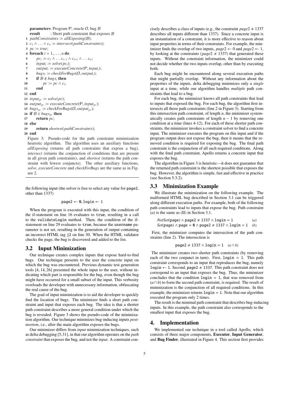```
parameters: Program P, oracle O, bug Bresult : Short path constraint that exposes \mathcal{B}1 pathConstraints \coloneq allExposing(\mathcal{B});
 2 c_1 \wedge \ldots \wedge c_n \coloneqq \text{intersect}(\text{pathConstraints});3 pc \coloneqq true;4 foreach i = 1, \ldots, n do
 5 pc_i \coloneqq c_1 \wedge \ldots c_{i-1} \wedge c_{i+1} \wedge \ldots c_n;6 input<sub>i</sub> \coloneqq solve(pc<sub>i</sub>);
 7 output<sub>i</sub> := executeConcrete(P, input<sub>i</sub>);
 8 bugs<sub>i</sub> := checkForBugs(O, output<sub>i</sub>);
 9 if \mathcal{B} \notin \text{bugs}_i then
10 pc \coloneqq pc \wedge c_i;11 end
12 end
13 input_{pc} \coloneqq solve(pc);14 output<sub>pc</sub> := executeConcrete(P, input<sub>pc</sub>);
15 bugs<sub>pc</sub> := checkForBugs(O, output<sub>pc</sub>);
16 if \mathcal{B} \in \text{bugs}_{\text{pc}} then
17 return pc;
18 else
19 return shortest(pathConstraints);
20 end
```
Figure 3: Pseudo-code for the path constraint minimization heuristic algorithm. The algorithm uses an auxiliary functions *allExposing* (returns all path constraints that expose a bug), *intersect* (returns the conjunction of conditions that are present in all given path constraints), and *shortest* (returns the path constraint with fewest conjuncts). The other auxiliary functions, *solve*, *executeConcrete* and *checkForBugs* are the same as in Figure 2.

the following input (the solver is free to select any value for page2, other than 1337)

### $page2 \leftarrow 0, 1$ ogin  $\leftarrow 1$

When the program is executed with this input, the condition of the if-statement on line 16 evaluates to true, resulting in a call to the validateLogin method. Then, the condition of the ifstatement on line 29 evaluates to true, because the username parameter is not set, resulting in the generation of output containing an incorrect HTML tag j2 on line 30. When the HTML validator checks the page, the bug is discovered and added to the list.

### 3.2 Input Minimization

Our technique creates complex inputs that expose hard-to-find bugs. Our technique presents to the user the concrete input on which the bug was encountered. Previous dynamic test generation tools [4, 14, 26] presented the whole input to the user, without indicating which part is responsible for the bug, even though the bug might have occurred for a small subset of the input. This verbosity overloads the developer with unnecessary information, obfuscating the real cause of the bug.

The goal of input minimization is to aid the developer to quickly find the location of bugs. The minimizer finds a short path constraint and input that exposes each bug. The idea is that a shorter path constraint describes a more general condition under which the bug is revealed. Figure 3 shows the pseudo-code of the minimization algorithm. Our technique minimizes bug-inducing inputs *postmortem*, i.e., after the main algorithm exposes the bugs.

Our minimizer differs from *input* minimization techniques, such as delta debugging [5,31], in that our algorithm operates on the *path constraint* that exposes the bug, and not the *input*. A constraint concisely describes a class of inputs (e.g., the constraint  $page2 \neq 1337$ describes all inputs different than 1337). Since a concrete input is an instantiation of a constraint, it is more effective to reason about input properties in terms of their constraints. For example, the minimizer finds the overlap of two inputs,  $page2 \leftarrow 0$  and  $page2 \leftarrow 1$ , by looking at the constraints ( $page2 \neq 1337$ ) that generated these inputs. Without the constraint information, the minimizer could not decide whether the two inputs overlap, other than by executing both.

Each bug might be encountered along several execution paths that might partially overlap. Without any information about the properties of the inputs, delta debugging minimizes only a *single* input at a time, while our algorithm handles *multiple* path constraints that lead to a bug.

For each bug, the minimizer knows all path constraints that lead to inputs that exposed the bug. For each bug, the algorithm first intersects all those path constraints (line 2 in Figure 3). Starting from this intersection path constraint, of length *n*, the minimizer systematically creates path constraints of length  $n - 1$  by removing one condition at a time (lines 4-12). For each of these shorter path constraints, the minimizer invokes a constraint solver to find a concrete input. The minimizer executes the program on this input and if the program output does not expose the bug, then it means that the removed condition is required for exposing the bug. The final path constraint is the conjunction of all such required conditions. Along with the final path constraint, Apollo returns a concrete input that exposes the bug.

The algorithm in Figure 3 is heuristic—it does not guarantee that the returned path constraint is the shortest possible that exposes the bug. However, the algorithm is simple, fast and effective in practice (see Section 5.3.2).

### 3.3 Minimization Example

We illustrate the minimization on the following example. The malformed HTML bug described in Section 3.1 can be triggered along different execution paths. For example, both of the following path constraints lead to inputs that expose the bug. Path constraint (*a*) is the same as (II) in Section 3.1.

```
NotSet(\text{page}) \land \text{page2} \neq 1337 \land \text{login} = 1 (a)
Set(\text{page}) \land \text{page} = \emptyset \land \text{page2} \neq 1337 \land \text{login} = 1 (b)
```
First, the minimizer computes the intersection of the path constraints (line 2). The intersection is

$$
page2 \neq 1337 \land login = 1 \quad (a \cap b)
$$

The minimizer creates two shorter path constraints (by removing each of the two conjunct in turn). First,  $login = 1$ . This path constraint corresponds to an input that reproduces the bug, namely login  $\leftarrow$  1. Second, page2  $\neq$  1337. This path constraint does not correspond to an input that exposes the bug. Thus, the minimizer concludes that the condition  $login = 1$ , that was removed from  $(a \cap b)$  to form the second path constraint, is required. The result of minimization is the conjunction of all required conditions. In this example, the minimizer returns login = 1. Note that our algorithm executed the program only 2 times.

The result is the minimal path constraint that describes bug-inducing inputs. In this example, the path constraint also corresponds to the smallest input that exposes the bug.

### 4. Implementation

We implemented our technique in a tool called Apollo, which consists of three major components, Executor, Input Generator, and Bug Finder, illustrated in Figure 4. This section first provides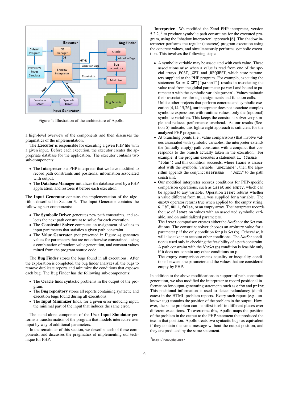

Figure 4: Illustration of the architecture of Apollo.

a high-level overview of the components and then discusses the pragmatics of the implementation,

The Executor is responsible for executing a given PHP file with a given input. Before each execution, the executor creates the appropriate database for the application. The executor contains two sub-components:

- The Interpreter is a PHP interpreter that we have modified to record path constraints and positional information associated with output.
- The Database Manager initializes the database used by a PHP application, and restores it before each execution.

The Input Generator contains the implementation of the algorithm described in Section 3. The Input Generator contains the following sub-components:

- The Symbolic Driver generates new path constraints, and selects the next path constraint to solve for each execution.
- The Constraint Solver computes an assignment of values to input parameters that satisfies a given path constraint.
- The Value Generator (not presented in Figure 4) generates values for parameters that are not otherwise constrained, using a combination of random value generation, and constant values mined from the program source code.

The Bug Finder stores the bugs found in all executions. After the exploration is completed, the bug finder analyzes all the bugs to remove duplicate reports and minimize the conditions that exposes each bug. The Bug Finder has the following sub-components:

- The Oracle finds syntactic problems in the output of the program.
- The **Bug repository** stores all reports containing syntactic and execution bugs found during all executions.
- The Input Minimizer finds, for a given error-inducing input, the minimal part of the input that induces the same error.

The stand-alone component of the User Input Simulator performs a transformation of the program that models interactive user input by way of additional parameters.

In the remainder of this section, we describe each of these components, and discusses the pragmatics of implementing our technique for PHP.

Interpreter. We modified the Zend PHP interpreter, version 5.2.2,  $9$  to produce symbolic path constraints for the executed program, using the "shadow interpreter" approach [6]. The shadow interpreter performs the regular (concrete) program execution using the concrete values, and simultaneously performs symbolic execution. This involves the following steps:

- A symbolic variable may be associated with each value. These associations arise when a value is read from one of the special arrays POST, GET, and REQUEST, which store parameters supplied to the PHP program. For example, executing the statement  $x = $GET['param1"]$  results in associating the value read from the global parameter param1 and bound to parameter x with the symbolic variable param1. Values maintain their associations through assignments and function calls. Unlike other projects that perform concrete and symbolic execution [4,14,15,26], our interpreter does not associate complex symbolic expressions with runtime values, only the (optional) symbolic variables. This keeps the constraint solver very simple and reduces performance overhead. As our results (Section 5) indicate, this lightweight approach is sufficient for the analyzed PHP programs.
- At branching points (i.e., value comparisons) that involve values associated with symbolic variables, the interpreter extends the (initially empty) path constraint with a conjunct that corresponds to the branch actually taken in the execution. For example, if the program executes a statement  $if$  (\$name == "John") and this condition succeeds, where \$name is associated with the symbolic variable "username", then the algorithm appends the conjunct username = "John" to the path constraint.
- Our modified interpreter records conditions for PHP-specific comparison operations, such as isset and empty, which can be applied to any variable. Operation isset returns whether a value different from NULL was supplied for a variable. The empty operator returns true when applied to: the empty string, 0, "0", NULL, false, or an empty array. The interpreter records the use of isset on values with an associated symbolic variable, and on uninitialized parameters.

The isset comparison creates either the *NotSet* or the *Set* conditions. The constraint solver chooses an arbitrary value for a parameter p if the only condition for p is *Set* (p). Otherwise, it will also take into account other conditions. The *NotSet* condition is used only in checking the feasibility of a path constraint. A path constraint with the *NotSet* (p) condition is feasible only if it does not contain any other conditions on p.

The empty comparison creates equality or inequality conditions between the parameter and the values that are considered empty by PHP.

In addition to the above modifications in support of path constraint generation, we also modified the interpreter to record positional information for output-generating statements such as echo and print. This positional information is used to detect redundancy (duplicates) in the HTML problem reports. Every such report (e.g., unknown tag) contains the position of the problem in the output. However, the same problem can manifest itself in different places over different executions. To overcome this, Apollo maps the position of the problem in the output to the PHP statement that produced the text in that position. Apollo treats two syntactic bugs as equivalent if they contain the same message without the output position, and they are produced by the same statement.

 $^9$ http://www.php.net/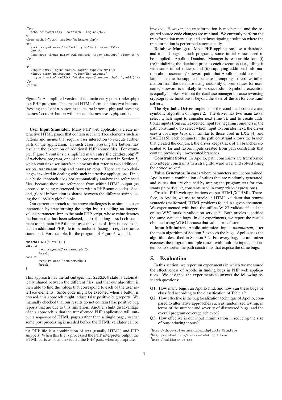```
<?php
        "<h2>WebChess ".$Version." Login"</h2>;
?>
<form method="post" action="mainmenu.php">
<p>
   Nick: <input name="txtNick" type="text" size="15"/>
   chr / >Password: <input name="pwdPassword" type="password" size="15"/>
</p>
\langle p \rangle<input name="login" value="login" type="submit"/>
   <input name="newAccount" value="New Account"
     type="button" onClick="window.open('newuser.php', '_self')"/>
\langle/p>
```
 $\langle$  form

Figure 5: A simplified version of the main entry point (index.php) to a PHP program. The created HTML form contains two buttons. Pressing the login button executes mainmenu.php and pressing the newAccount button will execute the newuser.php script.

User Input Simulator. Many PHP web applications create interactive HTML pages that contain user interface elements such as buttons and menus that require user interaction to execute further parts of the application. In such cases, pressing the button may result in the execution of additional PHP source files. For example, Figure 5 contains a simplified main entry file (index.php)<sup>10</sup> of webchess program, one of the programs evaluated in Section 5, which contains user interface elements that refer to two additional scripts, mainmenu.php and newuser.php. There are two challenges involved in dealing with such interactive applications. First, our basic approach does not automatically analyze the referenced files, because these are referenced from within HTML output (as opposed to being referenced from within PHP source code). Second, global information is shared between the different scripts using the SESSION global table.

Our current approach to the above challenges is to simulate user interaction by transforming the script by: (i) adding an integervalued parameter \_btn to the main PHP script, whose value denotes the button that has been selected, and (ii) adding a switch statement to the main PHP file that uses the value of \_btn is used to select an additional PHP file to be included (using a require once statement). For example, for the program of Figure 5, we add:

```
switch($_GET["_btn"]) {
case 1:
        require_once("mainmenu.php");
        break;
case 2:
        require_once("newuser.php");
        break;
}
```
This approach has the advantages that SESSION state is automatically shared between the different files, and that our algorithm is then able to find the values that correspond to each of the user interface elements. Since code might be executed when a button is pressed, this approach might induce false positive bug reports. We manually checked that our results do not contain false positive bug reports that are due to this limitation. Another slight disadvantage of this approach is that the transformed PHP application will output a *sequence* of HTML pages rather than a single page, so that some post processing is needed before the HTML validator can be invoked. However, the transformation is mechanical and the required source code changes are minimal. We currently perform the transformation manually, and are investigating a solution where the transformation is performed automatically.

Database Manager. Most PHP applications use a database, and to find bugs in such programs, some initial values need to be supplied. Apollo's Database Manager is responsible for: (i) (re)initializing the database prior to each execution (i.e., filling it with some initial values), and (ii) supplying additional information about username/password pairs that Apollo should use. The latter needs to be supplied, because attempting to retrieve information from the database using randomly chosen values for username/password is unlikely to be successful. Symbolic execution is equally helpless without the database manager because reversing cryptographic functions is beyond the state-of-the-art for constraint solvers.

The Symbolic Driver implements the combined concrete and symbolic algorithm of Figure 2. The driver has two main tasks: select which input to consider next (line 7), and to create additional inputs from each executed input (by negating conjuncts in the path constraint). To select which input to consider next, the driver uses a *coverage heuristic*, similar to those used in EXE [4] and SAGE [15]; each conjunct in the path constraint knows the branch that created the conjunct, the driver keeps track of all branches executed so far and favors inputs created from path constraints that contain previously un-executed branches.

Constraint Solver. In Apollo, path constraints are transformed into integer constraints in a straightforward way, and solved using the choco solver<sup>11</sup>.

Value Generator. In cases where parameters are unconstrained, Apollo uses a combination of values that are randomly generated, and values that are obtained by mining the program text for constants (in particular, constants used in comparison expressions).

Oracle. PHP web applications output HTML/XTHML. Therefore, in Apollo, we use as oracle an HTML validator that returns syntactic (malformed) HTML problems found in a given document. We experimented with both the offline WDG validator<sup>12</sup> and the online W3C markup validation service<sup>13</sup>. Both oracles identified the same syntactic bugs. In our experiments, we report the results obtained using WDG because that validator is faster.

Input Minimizer. Apollo minimizes inputs *postmortem*, after the main algorithm of Section 3 exposes the bugs. Apollo uses the algorithm described in Section 3.2. For every bug, the minimizer executes the program multiple times, with multiple inputs, and attempts to shorten the path constraints that expose the same bugs.

# 5. Evaluation

In this section, we report on experiments in which we measured the effectiveness of Apollo in finding bugs in PHP web applications. We designed the experiments to answer the following research questions:

- Q1. How many bugs can Apollo find, and how can these bugs be classified according to the classification of Table 1?
- Q2. How effective is the bug localization technique of Apollo, compared to alternative approaches such as randomized testing, in terms of the number and severity of discovered bugs, and the overall program coverage achieved?
- Q3. How effective is our input minimization in reducing the size of bug-inducing inputs?

<sup>10</sup>A PHP file is a combination of text (usually HTML) and PHP snippets. When this file is processed the PHP interpreter output the HTML parts as is, and executed the PHP parts when appropriate.

<sup>11</sup>http://choco-solver.net/index.php?title=Main Page

<sup>12</sup>http://htmlhelp.com/tools/validator/offline

<sup>13</sup>http://validator.w3.org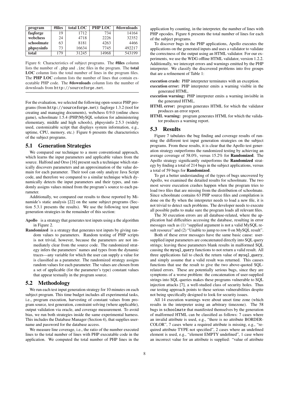| program    | #files | total LOC | PHP LOC | #downloads |
|------------|--------|-----------|---------|------------|
| faqforge   | 19     | 1712      | 734     | 14164      |
| webchess   | 24     | 4718      | 2226    | 32352      |
| schoolmate | 63     | 8181      | 4263    | 4466       |
| phpsysinfo | 73     | 16634     | 7745    | 492217     |
| total      | 179    | 31245     | 14968   | 543199     |

Figure 6: Characteristics of subject programs. The #files column lists the number of .php and .inc files in the program. The total LOC column lists the total number of lines in the program files. The PHP LOC column lists the number of lines that contain executable PHP code. The #downloads column lists the number of downloads from http://sourceforge.net.

For the evaluation, we selected the following open-source PHP programs (from http://sourceforge.net): faqforge 1.3.2 (tool for creating and managing documents), webchess 0.9.0 (online chess game), schoolmate 1.5.4 (PHP/MySQL solution for administering elementary, middle and high schools), phpsysinfo 2.5.3 (widely used, customizable script that displays system information, e.g., uptime, CPU, memory, etc.) Figure 6 presents the characteristics of the subject programs.

# 5.1 Generation Strategies

We compared our technique to a more conventional approach, which learns the input parameters and applicable values from the source. Halfond and Orso [16] present such a technique which statically discovers parameters and an approximation of the value domain for each parameter. Their tool can only analyze Java Script code, and therefore we compared to a similar technique which dynamically detects the input parameters and their types, and randomly assigns values mined from the program's source to each parameter.

Additionally, we compared our results to those reported by Minamide's static analysis [22] on the same subject programs (Section 5.3.1 presents the results). We use the following test input generation strategies in the remainder of this section:

- Apollo is a strategy that generates test inputs using a the algorithm in Figure 2.
- Randomized is a strategy that generates test inputs by giving random values to parameters. Random testing of PHP scripts is not trivial, however, because the parameters are not immediately clear from the source code. The randomized strategy infers the parameters' names and types from the dynamic traces—any variable for which the user can supply a value for is classified as a parameter. The randomized strategy assigns random values for each parameter. The values are chosen from a set of applicable (for the parameter's type) constant values that appear textually in the program source.

### 5.2 Methodology

We run each test input generation strategy for 10 minutes on each subject program. This time budget includes all experimental tasks, i.e., program execution, harvesting of constant values from program source, test generation, constraint solving (where applicable), output validation via oracle, and coverage measurement. To avoid bias, we run both strategies inside the same experimental harness. This includes the Database Manager (Section 4), that supplies username and password for the database access.

We measure line coverage, i.e., the ratio of the number executed lines to the total number of lines with PHP executable code in the application. We computed the total number of PHP lines in the

application by counting, in the interpreter, the number of lines with PHP opcodes. Figure 6 presents the total number of lines for each of the subject programs.

To discover bugs in the PHP applications, Apollo executes the applications on the generated inputs and uses a validator to validate the correctness of the output using an HTML validator. For our experiments, we use the WDG offline HTML validator, version 1.2.2. Additionally, we intercept errors and warnings emitted by the PHP interpreter. We classify the discovered problems into five groups that are a refinement of Table 1:

execution crash: PHP interpreter terminates with an exception.

- execution error: PHP interpreter emits a warning visible in the generated HTML.
- execution warning: PHP interpreter emits a warning invisible in the generated HTML.
- HTML error: program generates HTML for which the validator produces an error report.
- HTML warning: program generates HTML for which the validator produces a warning report.

### 5.3 Results

Figure 7 tabulates the bug finding and coverage results of running the different test input generation strategies on the subject programs. From these results, it is clear that the Apollo test generation strategy outperforms the randomized testing by achieving an average coverage of 58.0%, versus 15.2% for Randomized. The Apollo strategy significantly outperforms the Randomized strategy by finding a total of 214 bugs in the subject applications, versus a total of 59 bugs for Randomized.

To get a better understanding of the types of bugs uncovered by Apollo, we examined the detailed results for schoolmate. The two most severe execution crashes happen when the program tries to load two files that are missing from the distribution of schoolmate. Since schoolmate contains 63 PHP source files and compilation is done on the fly when the interpreter needs to load a new file, it is not trivial to detect such problems. The developer needs to execute all possible paths to make sure the program loads all relevant files.

The 30 execution errors are all database-related, where the application had difficulties accessing the database, resulting in error messages such as (1) "supplied argument is not a valid MySQL result resource" and (2) "Unable to jump to row 0 on MySQL result".

Both of these error messages have the same basic cause: usersupplied input parameters are concatenated directly into SQL query strings; leaving these parameters blank results in malformed SQL causing the mysql\_query functions to not return a valid result. All three applications fail to check the return value of mysql\_query, and simply assume that a valid result was returned. This causes functions that use the result to give the two above-quoted SQLrelated errors. These are potentially serious bugs, since they are symptoms of a worse problem: the concatenation of user-supplied strings into SQL queries makes these programs vulnerable to SQL injection attacks [7], a well-studied class of security holes. Thus our testing approach points to these serious vulnerabilities despite not being specifically designed to look for security issues.

All 14 execution warnings were about unset time zone (which results in the interpreter using an arbitrary timezone). The 58 bugs in schoolmate that manifested themselves by the generation of malformed HTML can be classified as follows: 7 cases where an invalid attribute is used, e.g., "there is no attribute BORDER-COLOR", 7 cases where a required attribute is missing, e.g., "required attribute TYPE not specified", 2 cases where an undefined element is used, e.g., "element EMPTY undefined", 1 case where an incorrect value for an attribute is supplied: "value of attribute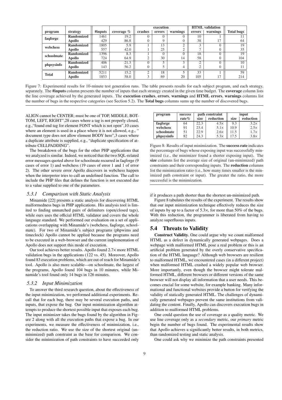|              |                   |         |               | execution |                 | <b>HTML</b> validation |              |          |                   |
|--------------|-------------------|---------|---------------|-----------|-----------------|------------------------|--------------|----------|-------------------|
| program      | strategy          | #inputs | coverage $\%$ | crashes   | errors          | warnings               | errors       | warnings | <b>Total bugs</b> |
| faqforge     | <b>Randomized</b> | 1461    | 19.2          |           |                 |                        | 10           |          |                   |
|              | Apollo            | 429     | 86.8          | $\Omega$  | $\Omega$        | 0                      | 38           | 17<br>11 | 64                |
| webchess     | <b>Randomized</b> | 1805    | 5.9           |           | $1\overline{3}$ | $\bigcap$              | $\mathbf{R}$ |          | 19                |
|              | Apollo            | 557     | 42.0          |           | 25              | $\bigcap$<br>∠         |              |          | 35                |
| schoolmate   | <b>Randomized</b> | 1396    | 8.3           |           | $\Omega$        |                        | 18           |          | 19                |
|              | Apollo            | 724     | 64.9          | ◠         | 30              | 14                     | 58           |          | 104               |
| phpsysinfo   | <b>Randomized</b> | 406     | 21.3          |           |                 |                        | $\bigcap$    |          | 10                |
|              | Apollo            | 143     | 56.2          | $\Omega$  |                 | 4                      | ◠            |          |                   |
| <b>Total</b> | Randomized        | 5211    | 15.2          | $\bigcap$ | 18              |                        | 33           |          | 59                |
|              | <b>Apollo</b>     | 1853    | 58.0          | 3         | 69              | 20                     | 105          | 17<br>11 | 214               |
|              |                   |         |               |           |                 |                        |              |          |                   |

Figure 7: Experimental results for 10-minute test generation runs. The table presents results for each subject program, and each strategy, separately. The #inputs column presents the number of inputs that each strategy created in the given time budget. The coverage column lists the line coverage achieved by the generated inputs. The execution crashes, errors, warnings and HTML errors, warnings columns list the number of bugs in the respective categories (see Section 5.2). The Total bugs columns sums up the number of discovered bugs.

ALIGN cannot be CENTER; must be one of TOP, MIDDLE, BOT-TOM, LEFT, RIGHT",28 cases where a tag is not properly closed, e.g.,"found end tag for element FONT which is not open",10 cases where an element is used in a place where it is not allowed, e.g., " document type does not allow element BODY here",3 cases where a duplicate attribute is supplied, e.g., "duplicate specification of attribute CELLPADDING".

The breakdown of the bugs for the other PHP applications that we analyzed is similar. Indeed, we noticed that the two SQL-related error messages quoted above for schoolmate recurred in faqforge (9 cases of error 1) and webchess (19 cases of error 1 and 1 of error 2). The other severe error Apollo discovers in webchess happen when the interpreter tries to call an undefined function. The call to include the PHP files that defines the function is not executed due to a value supplied to one of the parameters.

### *5.3.1 Comparison with Static Analysis*

Minamide [22] presents a static analysis for discovering HTML malformedness bugs in PHP applications. His analysis tool is limited to finding unmatched pairs of delimiters (open/closed tags), while ours uses the official HTML validator and covers the whole language standard. We performed our evaluation on a set of applications overlapping with Minamide's (webchess, faqforge, schoolmate). For two of Minamide's subject programs (phpwims and timeclock) Apollo cannot be applied because the programs need to be executed in a web-browser and the current implementation of Apollo does not support this mode of execution.

Our tool achieves better results. Apollo found 2.7× more HTML validation bugs in the applications (122 vs. 45). Moreover, Apollo found 83 execution problems, which are out of reach for Minamide's tool. Apollo is also more scalable—on schoolmate, the largest of the programs, Apollo found 104 bugs in 10 minutes, while Minamide's tool found only 14 bugs in 126 minutes.

### *5.3.2 Input Minimization*

To answer the third research question, about the effectiveness of the input minimization, we performed additional experiments. Recall that for each bug, there may be several execution paths, and inputs, that expose the bug. Our input minimization algorithm attempts to produce the shortest possible input that exposes each bug. The input minimizer takes the bugs found by the algorithm in Figure 2 along with all the execution paths that expose a bug. In our experiments, we measure the effectiveness of minimization, i.e., the reduction ratio. We use the size of the shortest original (unminimized) path constraint as the base for comparison. We consider the minimization of path constraints to have succeeded only

| program    | success  |      | path constraint | input |             |  |
|------------|----------|------|-----------------|-------|-------------|--|
|            | rate $%$ | size | reduction       | size  | reduction   |  |
| faqforge   | 64       | 22.3 | $4.5\times$     | 9.3   | $3.2\times$ |  |
| webchess   | 91       | 23.4 | $5.1\times$     | 10.9  | $2.5\times$ |  |
| schoolmate | 51       | 22.9 | $2.6\times$     | 11.5  | $1.7\times$ |  |
| phpsysinfo | 82       | 243  | $5.3\times$     | 17.5  | $3.8\times$ |  |

Figure 8: Results of input minimization. The success rate indicates the percentage of bugs whose exposing input was successfully minimized (i.e., the minimizer found a shorter exposing input). The size columns list the average size of original (un-minimized) path constraints and their corresponding inputs. The reduction columns list the minimization ratio (i.e., how many times smaller is the minimized path constraint or input). The greater the ratio, the more successful is the minimization.

if it produces a path shorter than the shortest un-minimized path.

Figure 8 tabulates the results of the experiment. The results show that our input minimization technique effectively reduces the size of inputs by up to a factor of 5.3×, for more than 50% of the bugs. With this reduction, the programmer is liberated from having to analyze superfluous inputs.

# 5.4 Threats to Validity

Construct Validity. One could argue why we count malformed HTML as a defect in dynamically generated webpages. Does a webpage with malformed HTML pose a real problem or this is an artificial problem generated by the overly conservative specification of the HTML language? Although web browsers are resilient to malformed HTML, we encountered cases (in a different project) when malformed HTML crashed a widely popular web browser. More importantly, even though the browser might tolerate malformed HTML, different browsers or different versions of the same browser will not display all information that a user needs. This becomes crucial for some website, for example banking. Many informational and functional websites provide a button for verifying the validity of statically generated HTML. The challenges of dynamically generated webpages prevent the same institutions from validating the content. Finally, Apollo can discovers execution bugs in addition to malformed HTML problems.

One could question the use of coverage as a quality metric. We use line coverage only as a *secondary* metric, our *primary* metric begin the number of bugs found. The experimental results show that Apollo achieves a significantly better results, in both metrics, than randomized testing and static analysis.

One could ask why we minimize the path constraints presented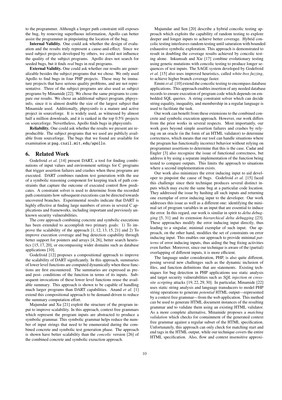to the programmer. Although a longer path constraint still exposes the bug, by removing superfluous information, Apollo can better assist the programmer in pinpointing the location of the bug.

Internal Validity. One could ask whether the design of evaluation and the results truly represent a cause-and-effect. Since we used subject projects developed by others, we could not influence the quality of the subject programs. Apollo does not search for seeded bugs, but it finds *real* bugs in real programs.

External Validity. One could ask whether our results are generalizable besides the subject programs that we chose. We only used Apollo to find bugs in four PHP projects. These may be immature projects that have serious quality problems, and are not representative. Three of the subject programs are also used as subject programs by Minamide [22]. We chose the same programs to compare our results. We chose an additional subject program, phpsysinfo, since it is almost double the size of the largest subject that Minamide used. Additionally, phpsysinfo is a mature and active project in sourceforge. It is widely used, as witnessed by almost half a million downloads, and it is ranked in the top 0.5% projects on sourceforge. Nevertheless, Apollo finds bugs in phpsysinfo.

Reliability. One could ask whether the results we present are reproducible. The subject programs that we used are publicly available from sourceforge. The bugs that we found are available for examination at pag.csail.mit.edu/apollo.

# 6. Related Work

Godefroid *et al.* [14] present DART, a tool for finding combinations of input values and environment settings for C programs that trigger assertion failures and crashes when these programs are executed. DART combines random test generation with the use of a symbolic reasoning component for keeping track of path constraints that capture the outcome of executed control flow predicates. A constraint solver is used to determine from the recorded path constraints how subsequent executions can be directed towards uncovered branches. Experimental results indicate that DART is highly effective at finding large numbers of errors in several C applications and frameworks, including important and previously unknown security vulnerabilities.

The core approach combining concrete and symbolic executions has been extended to accomplish two primary goals: 1) To improve the scalability of the approach [1, 12, 13, 15, 21] and 2) To improve execution coverage and bug detection capability through better support for pointers and arrays [4, 26], better search heuristics [15, 17, 20], or encompassing wider domains such as database applications [10].

Godefroid [12] proposes a compositional approach to improve the scalability of DART significantly. In this approach, summaries of lower level functions are computed dynamically when these functions are first encountered. The summaries are expressed as preand post- conditions of the function in terms of its inputs. Subsequent invocations of these lower level functions reuse the available summary. This approach is shown to be capable of handling much larger programs than DART capabilities. Anand *et al.* [1] extend this compositional approach to be demand-driven to reduce the summary computation effort.

Majumdar and Xu [21] exploit the structure of the program input to improve scalability. In this approach, context free grammars which represent the program inputs are abstracted to produce a symbolic grammar. This symbolic grammar helps reduce the number of input strings that need to be enumerated during the combined concrete and symbolic test generation phase. The approach is shown have better scalability than the *concolic* version [26] of the combined concrete and symbolic exeuction approach.

Majumdar and Sen [20] describe a hybrid concolic testing approach which exploits the capability of random testing to explore deeper and longer inputs to achieve better coverage. Hybrid concolic testing interleaves random testing until saturation with bounded exhaustive symbolic exploration. This approach is demonstrated to result in doubling the coverage results achieved by concolic testing alone. Inkumsah and Xie [17] combine evolutionary testing using genetic mutations with concolic testing to produce longer sequences of test inputs. The SAGE system developed by Godefroid *et al.* [15] also uses improved heuristics, called *white-box fuzzing*, to achieve higher branch coverage faster.

Emmi *et al.* [10] extend the concolic testing to encompass database applications. This approach enables insertion of any needed database records to ensure execution of program code which depends on embedded SQL queries. A string constraint solver which can decide string equality, inequality, and membership in a regular language is used to facilitate the task.

Our work can benefit from these extensions to the combined concrete and symbolic execution approach. However, our work differs from the prior works in several respects. Most importantly, our work goes beyond simple assertion failures and crashes by relying on an oracle (in the form of an HTML validator) to determine correctness, which means that our tool can handle situations where the program has functionally incorrect behavior without relying on programmer assertions to determine that this is the case. Cadar and Engler [3] also recognize the issue of functional correctness, but address it by using a separate implementation of the function being tested to compare outputs. This limits the approach to situations where a second implementation exists.

Our work also minimizes the error inducing input to aid developer to pinpoint the cause of bugs. Godefroid *et al.* [15] faced this challenge since their technique produces several distinct inputs which may excite the same bug at a particular code location. They addressed the issue by hashing all such inputs and returning one exemplar of error inducing input to the developer. Our work addresses this issue as well as a different one: identifying the minimal set of program variables in an input that are essential to induce the error. In this regard, our work is similar in spirit to *delta debugging* [5, 31] and its extension *hierarchical delta debugging* [23]. These approaches modify the error inducing input directly, thus leading to a singular, minimal exemplar of such input. Our approach, on the other hand, modifies the set of constraints on error inducing input. This enables our approach to provide minimal *patterns* of error inducing inputs, thus aiding the bug fixing activities even further. Moreover, since our technique is aware of the (partial) overlapping of different inputs, it is more efficient.

The language under consideration, PHP, is also quite different, posing several new challenges such as the dynamic inclusion of files, and function definitions that are statements. Existing techniques for bug detection in PHP applications use static analysis and target security vulnerabilities such as *SQL injection* or *crosssite scripting* attacks [19, 22, 29, 30]. In particular, Minamide [22] uses static string analysis and language transducers to model PHP string operations to generate *potential* HTML output—represented by a context free grammar—from the web application. This method can be used to generate HTML document instances of the resulting grammar and to validate them using an existing HTML validator. As a more complete alternative, Minamide proposes a *matching validation* which checks for containment of the generated context free grammar against a regular subset of the HTML specification. Unfortunately, this approach can only check for matching start and end tags in the HTML output, while our technique covers the entire HTML specification. Also, flow and context insensitive approxi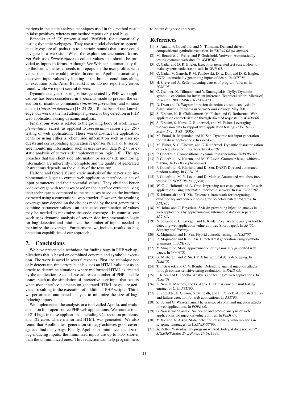mations in the static analysis techniques used in this method result in false positives, whereas our method reports only real bugs.

Benedikt *et al.* [2] present a tool, VeriWeb, for automatically testing dynamic webpages. They use a model checker to systematically explore all paths (up to a certain bound) that a user could navigate in a web site. When the exploration encounters forms, VeriWeb uses *SmartProfiles* to collect values that should be provided as inputs to forms. Although VeriWeb can automatically fill up the forms, the tester needs to prepopulate the user profiles with values that a user would provide. In contrast, Apollo automatically discovers input values by looking at the branch conditions along an execution path. Also, Benedikt *et al.* do not report any errors found, while we report several dozens.

Dynamic analysis of string values generated by PHP web applications has been considered in a *reactive* mode to prevent the execution of insidious commands (*intrusion prevention*) and to raise an alert (*intrusion detection*) [18,24,28]. To the best of our knowledge, our work is the first attempt at *proactive* bug detection in PHP web applications using dynamic analysis.

Finally, our work is related to the growing body of work in *implementation based* (as opposed to *specification based* e.g., [25]) testing of web applications. These works abstract the application behavior using either a) client side information such as user requests and corresponding application responses [8,11], or b) server side monitoring information such as user session data [9, 27], or c) static analysis of server side implementation logic [16]. The approaches that use client side information or server side monitoring information are inherently incomplete and the quality of generated abstractions depends on the quality of the tests run.

Halfond and Orso [16] use static analysis of the server side implementation logic to extract web application interface—a set of input parameters and their potential values. They obtained better code coverage with test cases based on the interface extracted using their technique as compared to the test cases based on the interface extracted using a conventional web crawler. However, the resulting coverage may depend on the choices made by the test generator to combine parameter values—an exhaustive combination of values may be needed to maximize the code coverage. In contrast, our work uses dynamic analysis of server side implementation logic for bug detection and minimizes the number of inputs needed to maximize the coverage. Furthermore, we include results on bug detection capabilities of our approach.

### 7. Conclusions

We have presented a technique for finding bugs in PHP web applications that is based on combined concrete and symbolic execution. The work is novel in several respects. First, the technique not only detects run-time errors but also uses an HTML validator as an oracle to determine situations where malformed HTML is created by the application. Second, we address a number of PHP-specific issues, such as the simulation of interactive user input that occurs when user interface elements on generated HTML pages are activated, resulting in the execution of additional PHP scripts. Third, we perform an automated analysis to minimize the size of buginducing inputs.

We implemented the analysis in a tool called Apollo, and evaluated it on four open-source PHP web applications. We found a total of 214 bugs in these applications, including 92 execution problems, and 122 cases where malformed HTML was generated. We also found that Apollo's test generation strategy achieves good coverage and find many bugs. Finally, Apollo also minimizes the size of bug-inducing inputs: the minimized inputs are up to 5.3× shorter than the unminimized ones. This reduction can help programmers to better diagnose the bugs.

### References

- [1] S. Anand, P. Godefroid, and N. Tillmann. Demand-driven compositional symbolic execution. In *TACAS'08 (to appear)*.
- [2] M. Benedikt, J. Freire, and P. Godefroid. Veriweb: Automatically testing dynamic web sites. In *WWW'02*.
- [3] C. Cadar and D. R. Engler. Execution generated test cases: How to make systems code crash itself. In *SPIN'05*.
- [4] C. Cadar, V. Ganesh, P. M. Pawlowski, D. L. Dill, and D. R. Engler. EXE: automatically generating inputs of death. In *CCS'06*.
- [5] H. Cleve and A. Zeller. Locating causes of program failures. In *ICSE'05*.
- [6] C. Csallner, N. Tillmann, and Y. Smaragdakis. DySy: Dynamic symbolic execution for invariant inference. Technical report, Microsoft Research, 2007. MSR-TR-2007-151.
- [7] D. Dean and D. Wagner. Intrusion detection via static analysis. In *Symposium on Research in Security and Privacy*, May 2001.
- [8] S. Elbaum, K.-R. Chilakamarri, M. Fisher, and G. Rothermel. Web application characterization through directed requests. In *WODA'06*.
- [9] S. Elbaum, S. Karre, G. Rothermel, and M. Fisher. Leveraging user-session data to support web application testing. *IEEE Trans. Softw. Eng.*, 31(3), 2005.
- [10] M. Emmi, R. Majumdar, and K. Sen. Dynamic test input generation for database applications. In *ISSTA'07*.
- [11] M. Fisher, S. G. Elbaum, and G. Rothermel. Dynamic characterization of web application interfaces. In *FASE'07*.
- [12] P. Godefroid. Compositional dynamic test generation. In *POPL'07*.
- [13] P. Godefroid, A. Kieżun, and M. Y. Levin. Grammar-based whitebox fuzzing. In *PLDI'08 (To appear)*.
- [14] P. Godefroid, N. Klarlund, and K. Sen. DART: Directed automated random testing. In *PLDI'05*.
- [15] P. Godefroid, M. Y. Levin, and D. Molnar. Automated whitebox fuzz testing. In *NDSS'08 (to appear)*.
- [16] W. G. J. Halfond and A. Orso. Improving test case generation for web applications using automated interface discovery. In *ESEC-FSE'07*.
- [17] K. Inkumsah and T. Xie. Evacon: a framework for integrating evolutionary and concolic testing for object-oriented programs. In *ASE'07*.
- [18] M. Johns and C. Beyerlein. SMask: preventing injection attacks in web applications by approximating automatic data/code separation. In *SAC'07*.
- [19] N. Jovanovic, C. Kruegel, and E. Kirda. Pixy: A static analysis tool for detecting web application vulnerabilities (short paper). In *SP'06: Security and Privacy*.
- [20] R. Majumdar and K. Sen. Hybrid concolic testing. In *ICSE'07*.
- [21] R. Majumdar and R.-G. Xu. Directed test generation using symbolic grammars. In *ASE'07*.
- [22] Y. Minamide. Static approximation of dynamically generated web pages. In *WWW'05*.
- [23] G. Misherghi and Z. Su. HDD: hierarchical delta debugging. In *ICSE'06*.
- [24] T. Pietraszek and C. V. Berghe. Defending against injection attacks through context-sensitive string evaluation. In *RAID'05*.
- [25] F. Ricca and P. Tonella. Analysis and testing of web applications. In *ICSE'01*.
- [26] K. Sen, D. Marinov, and G. Agha. CUTE: A concolic unit testing engine for C. In *FSE'05*.
- [27] S. Sprenkle, E. Gibson, S. Sampath, and L. Pollock. Automated replay and failure detection for web applications. In *ASE'05*.
- [28] Z. Su and G. Wassermann. The essence of command injection attacks in web applications. In *POPL'06*.
- [29] G. Wassermann and Z. Su. Sound and precise analysis of web applications for injection vulnerabilities. In *PLDI'07*.
- [30] Y. Xie and A. Aiken. Static detection of security vulnerabilities in scripting languages. In *USENIX-SS'06*.
- [31] A. Zeller. Yesterday, my program worked. today, it does not. why? *SIGSOFT Softw. Eng. Notes*, 24(6), 1999.